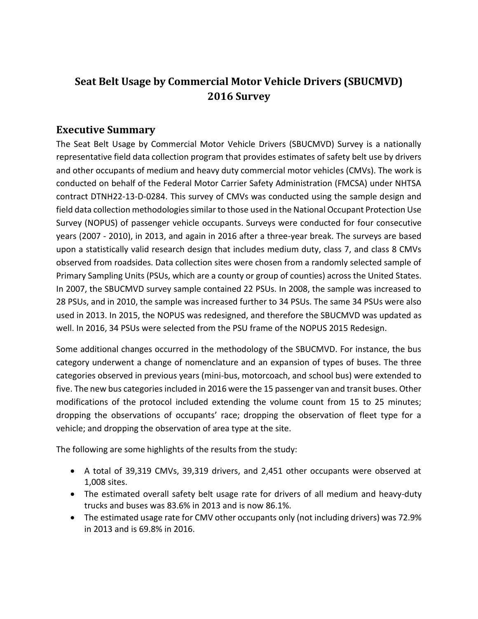## **Seat Belt Usage by Commercial Motor Vehicle Drivers (SBUCMVD) 2016 Survey**

## **Executive Summary**

The Seat Belt Usage by Commercial Motor Vehicle Drivers (SBUCMVD) Survey is a nationally representative field data collection program that provides estimates of safety belt use by drivers and other occupants of medium and heavy duty commercial motor vehicles (CMVs). The work is conducted on behalf of the Federal Motor Carrier Safety Administration (FMCSA) under NHTSA contract DTNH22-13-D-0284. This survey of CMVs was conducted using the sample design and field data collection methodologies similar to those used in the National Occupant Protection Use Survey (NOPUS) of passenger vehicle occupants. Surveys were conducted for four consecutive years (2007 - 2010), in 2013, and again in 2016 after a three-year break. The surveys are based upon a statistically valid research design that includes medium duty, class 7, and class 8 CMVs observed from roadsides. Data collection sites were chosen from a randomly selected sample of Primary Sampling Units (PSUs, which are a county or group of counties) across the United States. In 2007, the SBUCMVD survey sample contained 22 PSUs. In 2008, the sample was increased to 28 PSUs, and in 2010, the sample was increased further to 34 PSUs. The same 34 PSUs were also used in 2013. In 2015, the NOPUS was redesigned, and therefore the SBUCMVD was updated as well. In 2016, 34 PSUs were selected from the PSU frame of the NOPUS 2015 Redesign.

Some additional changes occurred in the methodology of the SBUCMVD. For instance, the bus category underwent a change of nomenclature and an expansion of types of buses. The three categories observed in previous years (mini-bus, motorcoach, and school bus) were extended to five. The new bus categories included in 2016 were the 15 passenger van and transit buses. Other modifications of the protocol included extending the volume count from 15 to 25 minutes; dropping the observations of occupants' race; dropping the observation of fleet type for a vehicle; and dropping the observation of area type at the site.

The following are some highlights of the results from the study:

- A total of 39,319 CMVs, 39,319 drivers, and 2,451 other occupants were observed at 1,008 sites.
- The estimated overall safety belt usage rate for drivers of all medium and heavy-duty trucks and buses was 83.6% in 2013 and is now 86.1%.
- The estimated usage rate for CMV other occupants only (not including drivers) was 72.9% in 2013 and is 69.8% in 2016.